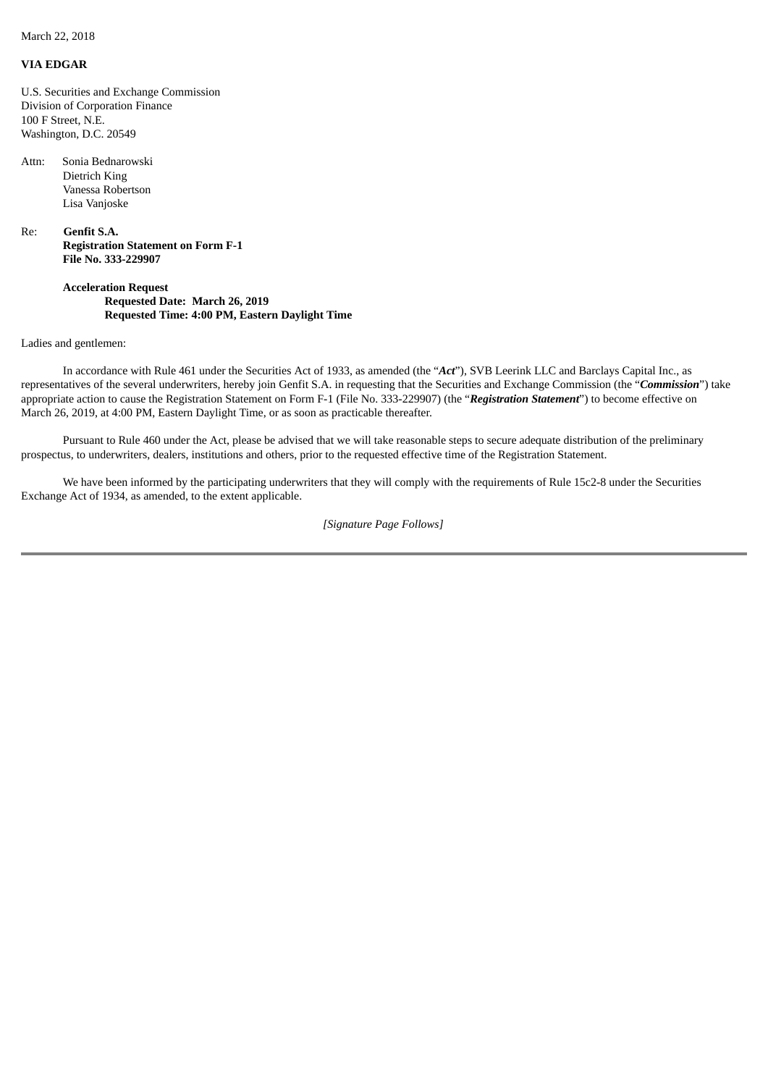March 22, 2018

## **VIA EDGAR**

U.S. Securities and Exchange Commission Division of Corporation Finance 100 F Street, N.E. Washington, D.C. 20549

Attn: Sonia Bednarowski Dietrich King Vanessa Robertson Lisa Vanjoske

Re: **Genfit S.A. Registration Statement on Form F-1 File No. 333-229907**

> **Acceleration Request Requested Date: March 26, 2019 Requested Time: 4:00 PM, Eastern Daylight Time**

## Ladies and gentlemen:

In accordance with Rule 461 under the Securities Act of 1933, as amended (the "*Act*"), SVB Leerink LLC and Barclays Capital Inc., as representatives of the several underwriters, hereby join Genfit S.A. in requesting that the Securities and Exchange Commission (the "*Commission*") take appropriate action to cause the Registration Statement on Form F-1 (File No. 333-229907) (the "*Registration Statement*") to become effective on March 26, 2019, at 4:00 PM, Eastern Daylight Time, or as soon as practicable thereafter.

Pursuant to Rule 460 under the Act, please be advised that we will take reasonable steps to secure adequate distribution of the preliminary prospectus, to underwriters, dealers, institutions and others, prior to the requested effective time of the Registration Statement.

We have been informed by the participating underwriters that they will comply with the requirements of Rule 15c2-8 under the Securities Exchange Act of 1934, as amended, to the extent applicable.

## *[Signature Page Follows]*